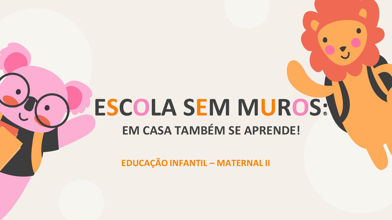## ESCOLA SEM MUROS:\ **EM CASA TAMBÉM SE APRENDE!**

**EDUCAÇÃO INFANTIL - MATERNAL II**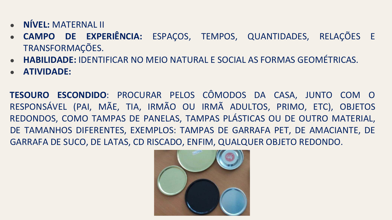- **NÍVEL:** MATERNAL II
- **CAMPO DE EXPERIÊNCIA:** ESPAÇOS, TEMPOS, QUANTIDADES, RELAÇÕES E TRANSFORMAÇÕES.
- **HABILIDADE:** IDENTIFICAR NO MEIO NATURAL E SOCIAL AS FORMAS GEOMÉTRICAS.
- **ATIVIDADE:**

**TESOURO ESCONDIDO**: PROCURAR PELOS CÔMODOS DA CASA, JUNTO COM O RESPONSÁVEL (PAI, MÃE, TIA, IRMÃO OU IRMÃ ADULTOS, PRIMO, ETC), OBJETOS REDONDOS, COMO TAMPAS DE PANELAS, TAMPAS PLÁSTICAS OU DE OUTRO MATERIAL, DE TAMANHOS DIFERENTES, EXEMPLOS: TAMPAS DE GARRAFA PET, DE AMACIANTE, DE GARRAFA DE SUCO, DE LATAS, CD RISCADO, ENFIM, QUALQUER OBJETO REDONDO.